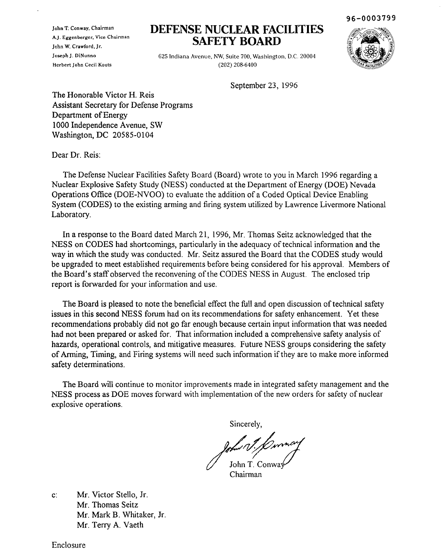John T. Conway. Chairman A.J. Eggenberger. Vice Chairman John W. Crawford. Jr. Joseph J. DiNunno Herbert John Cecil Kouts

## **DEFENSE NUCLEAR FACILITIES SAFETY BOARD**

625 Indiana Avenue, NW, Suite 700, Washington, D.C. 20004 (202) 208-6400

September 23, 1996



The Honorable Victor H. Reis Assistant Secretary for Defense Programs Department of Energy 1000 Independence Avenue, SW Washington, DC 20585-0104

Dear Dr. Reis:

The Defense Nuclear Facilities Safety Board (Board) wrote to you in March 1996 regarding a Nuclear Explosive Safety Study (NESS) conducted at the Department of Energy (DOE) Nevada Operations Office (DOE-NVOO) to evaluate the addition of a Coded Optical Device Enabling System (CODES) to the existing arming and firing system utilized by Lawrence Livermore National Laboratory.

In a response to the Board dated March 21, 1996, Mr. Thomas Seitz acknowledged that the NESS on CODES had shortcomings, particularly in the adequacy of technical information and the way in which the study was conducted. Mr. Seitz assured the Board that the CODES study would be upgraded to meet established requirements before being considered for his approval. Members of the Board's staff observed the reconvening of the CODES NESS in August. The enclosed trip report is forwarded for your information and use.

The Board is pleased to note the beneficial effect the full and open discussion of technical safety issues in this second NESS forum had on its recommendations for safety enhancement. Yet these recommendations probably did not go far enough because certain input information that was needed had not been prepared or asked for. That information included a comprehensive safety analysis of hazards, operational controls, and mitigative measures. Future NESS groups considering the safety of Arming, Timing, and Firing systems will need such information ifthey are to make more informed safety determinations.

The Board will continue to monitor improvements made in integrated safety management and the NESS process as DOE moves forward with implementation of the new orders for safety of nuclear explosive operations.

Sincerely,

Polar V. Conver

Chairman

c: Mr. Victor Stello, Jr. Mr. Thomas Seitz Mr. Mark B. Whitaker, Jr. Mr. Terry A. Vaeth

Enclosure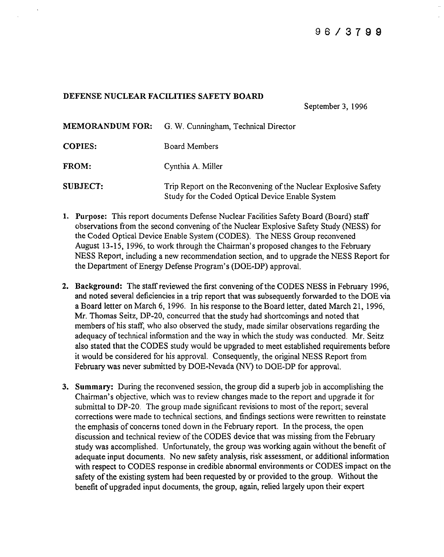## DEFENSE NUCLEAR FACILITIES SAFETY **BOARD**

September 3, 1996

| <b>MEMORANDUM FOR:</b> | G. W. Cunningham, Technical Director                                                                               |
|------------------------|--------------------------------------------------------------------------------------------------------------------|
| <b>COPIES:</b>         | Board Members                                                                                                      |
| FROM:                  | Cynthia A. Miller                                                                                                  |
| <b>SUBJECT:</b>        | Trip Report on the Reconvening of the Nuclear Explosive Safety<br>Study for the Coded Optical Device Enable System |

- 1. Purpose: This report documents Defense Nuclear Facilities Safety Board (Board) staff observations from the second convening ofthe Nuclear Explosive Safety Study (NESS) for the Coded Optical Device Enable System (CODES). The NESS Group reconvened August 13-15, 1996, to work through the Chairman's proposed changes to the February NESS Report, including a new recommendation section, and to upgrade the NESS Report for the Department of Energy Defense Program's (DOE-DP) approval.
- 2. Background: The staff reviewed the first convening of the CODES NESS in February 1996, and noted several deficiencies in a trip report that was subsequently forwarded to the DOE via a Board letter on March 6, 1996. In his response to the Board letter, dated March 21, 1996, Mr. Thomas Seitz, DP-20, concurred that the study had shortcomings and noted that members of his staff, who also observed the study, made similar observations regarding the adequacy of technical information and the way in which the study was conducted. Mr. Seitz also stated that the CODES study would be upgraded to meet established requirements before it would be considered for his approval. Consequently, the original NESS Report from February was never submitted by DOE-Nevada (NV) to DOE-DP for approval.
- 3. Summary: During the reconvened session, the group did a superb job in accomplishing the Chairman's objective, which was to review changes made to the report and upgrade it for submittal to DP-20. The group made significant revisions to most of the report; several corrections were made to technical sections, and findings sections were rewritten to reinstate the emphasis of concerns toned down in the February report. In the process, the open discussion and technical review of the CODES device that was missing from the February study was accomplished. Unfortunately, the group was working again without the benefit of adequate input documents. No new safety analysis, risk assessment, or additional information with respect to CODES response in credible abnormal environments or CODES impact on the safety of the existing system had been requested by or provided to the group. Without the benefit of upgraded input documents, the group, again, relied largely upon their expert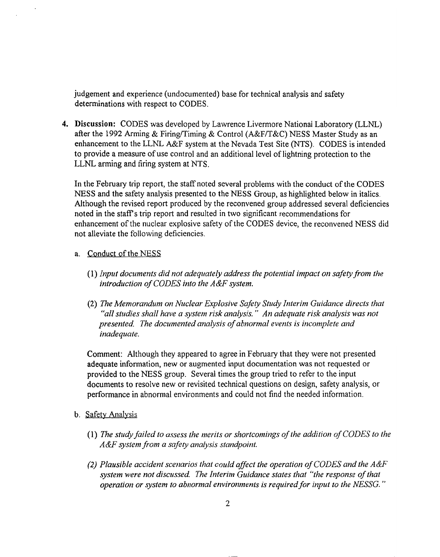judgement and experience (undocumented) base for technical analysis and safety determinations with respect to CODES.

**4.** Discussion: CODES was developed by Lawrence Livermore National Laboratory (LLNL) after the 1992 Arming & Firing/Timing & Control (A&F/T&C) NESS Master Study as an enhancement to the LLNL A&F system at the Nevada Test Site (NTS). CODES is intended to provide a measure of use control and an additional level of lightning protection to the LLNL arming and firing system at NTS.

In the February trip report, the staff noted several problems with the conduct ofthe CODES NESS and the safety analysis presented to the NESS Group, as highlighted below in italics. Although the revised report produced by the reconvened group addressed several deficiencies noted in the staff's trip report and resulted in two significant recommendations for enhancement of the nuclear explosive safety of the CODES device, the reconvened NESS did not alleviate the following deficiencies.

## a. Conduct of the NESS

- (1) *Input documents did not adequately address the potential impact on safetyfrom the introduction ofCODES into the A&F system.*
- *(2) The Memorandum on Nuclear Explosive Safety Study Interim Guidance directs that "all studies shall have a system risk analysis." An adequate risk analysis was not presented. The documented analysis ofabnormal events is incomplete and inadequate.*

Comment: Although they appeared to agree in February that they were not presented adequate information, new or augmented input documentation was not requested or provided to the NESS group. Several times the group tried to refer to the input documents to resolve new or revisited technical questions on design, safety analysis, or performance in abnormal environments and could not find the needed information.

- b. Safety Analysis
	- *(1) The study failed to assess the merits or shortcomings ofthe addition ofCODES to the A&F system from a safety analysis standpoint.*
	- *(2) Plausible accident scenarios that could affect the operation ofCODES and the A&F system were not discussed. The Interim Guidance states that "the response ofthat operation or system to abnormal environments is requiredfor input to the NESSG. "*